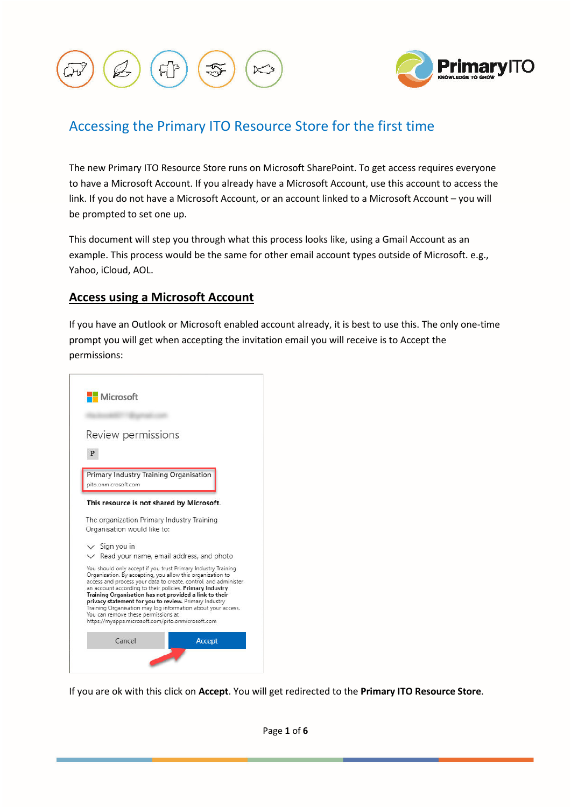



# Accessing the Primary ITO Resource Store for the first time

The new Primary ITO Resource Store runs on Microsoft SharePoint. To get access requires everyone to have a Microsoft Account. If you already have a Microsoft Account, use this account to access the link. If you do not have a Microsoft Account, or an account linked to a Microsoft Account – you will be prompted to set one up.

This document will step you through what this process looks like, using a Gmail Account as an example. This process would be the same for other email account types outside of Microsoft. e.g., Yahoo, iCloud, AOL.

## **Access using a Microsoft Account**

If you have an Outlook or Microsoft enabled account already, it is best to use this. The only one-time prompt you will get when accepting the invitation email you will receive is to Accept the permissions:



If you are ok with this click on **Accept**. You will get redirected to the **Primary ITO Resource Store**.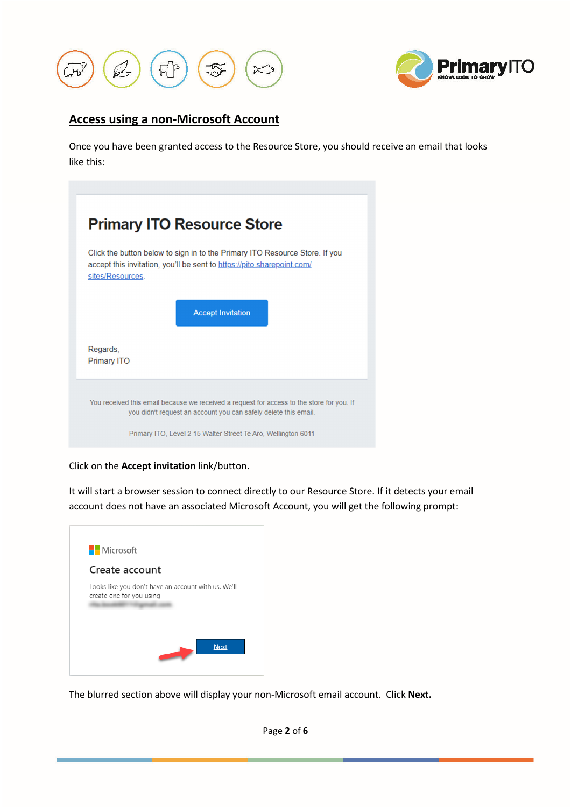



## **Access using a non-Microsoft Account**

Once you have been granted access to the Resource Store, you should receive an email that looks like this:

| <b>Primary ITO Resource Store</b> |                                                                                                                                                              |  |
|-----------------------------------|--------------------------------------------------------------------------------------------------------------------------------------------------------------|--|
| sites/Resources.                  | Click the button below to sign in to the Primary ITO Resource Store. If you<br>accept this invitation, you'll be sent to https://pito.sharepoint.com/        |  |
|                                   | <b>Accept Invitation</b>                                                                                                                                     |  |
| Regards,<br><b>Primary ITO</b>    |                                                                                                                                                              |  |
|                                   | You received this email because we received a request for access to the store for you. If<br>you didn't request an account you can safely delete this email. |  |
|                                   | Primary ITO, Level 2 15 Walter Street Te Aro, Wellington 6011                                                                                                |  |

Click on the **Accept invitation** link/button.

It will start a browser session to connect directly to our Resource Store. If it detects your email account does not have an associated Microsoft Account, you will get the following prompt:



The blurred section above will display your non-Microsoft email account. Click **Next.**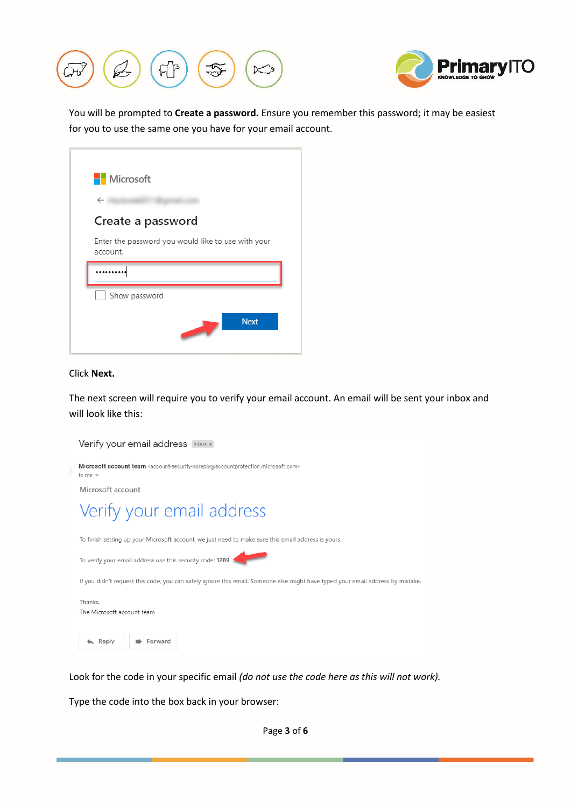



You will be prompted to **Create a password.** Ensure you remember this password; it may be easiest for you to use the same one you have for your email account.

| <b>Nicrosoft</b>  |                                                    |
|-------------------|----------------------------------------------------|
| $\leftarrow$      |                                                    |
| Create a password |                                                    |
| account.          | Enter the password you would like to use with your |
|                   |                                                    |
|                   |                                                    |
| Show password     |                                                    |

#### Click **Next.**

r

The next screen will require you to verify your email account. An email will be sent your inbox and will look like this:

| Verify your email address Inbox x                                                                                                                                        |
|--------------------------------------------------------------------------------------------------------------------------------------------------------------------------|
| Microsoft account team <account-security-noreply@accountprotection.microsoft.com><br/>to me <math>\sim</math></account-security-noreply@accountprotection.microsoft.com> |
| Microsoft account                                                                                                                                                        |
| Verify your email address                                                                                                                                                |
| To finish setting up your Microsoft account, we just need to make sure this email address is yours.                                                                      |
| To verify your email address use this security code: 1289                                                                                                                |
| If you didn't request this code, you can safely ignore this email. Someone else might have typed your email address by mistake.                                          |
| Thanks.<br>The Microsoft account team                                                                                                                                    |
| Reply<br>Forward                                                                                                                                                         |

Look for the code in your specific email *(do not use the code here as this will not work).*

Type the code into the box back in your browser: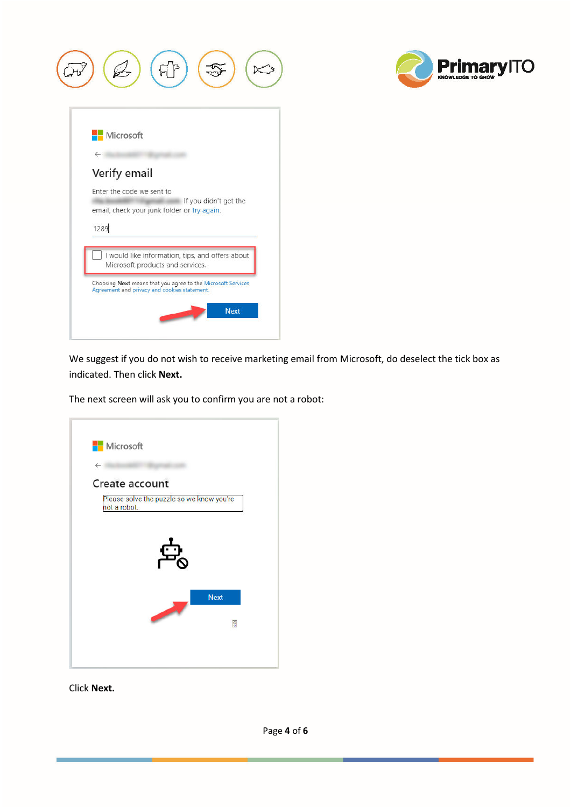



We suggest if you do not wish to receive marketing email from Microsoft, do deselect the tick box as indicated. Then click **Next.** 

The next screen will ask you to confirm you are not a robot:



Click **Next.**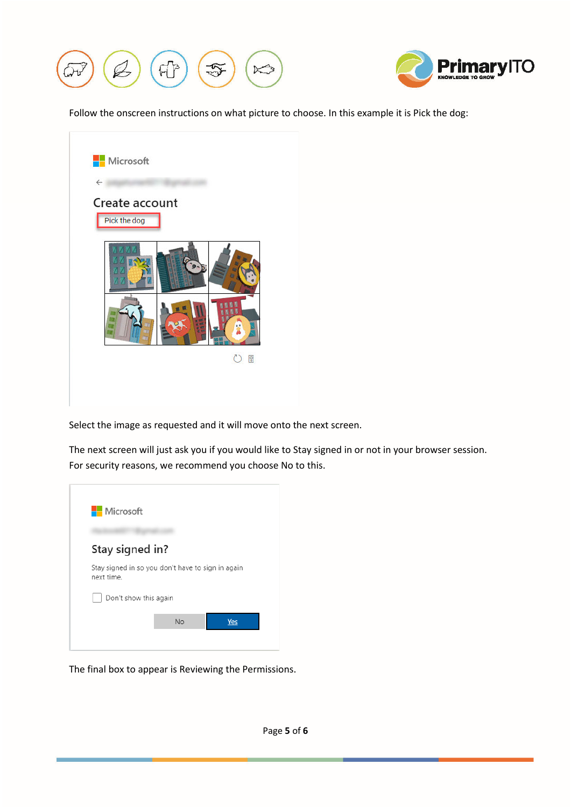



Follow the onscreen instructions on what picture to choose. In this example it is Pick the dog:



Select the image as requested and it will move onto the next screen.

The next screen will just ask you if you would like to Stay signed in or not in your browser session. For security reasons, we recommend you choose No to this.



The final box to appear is Reviewing the Permissions.